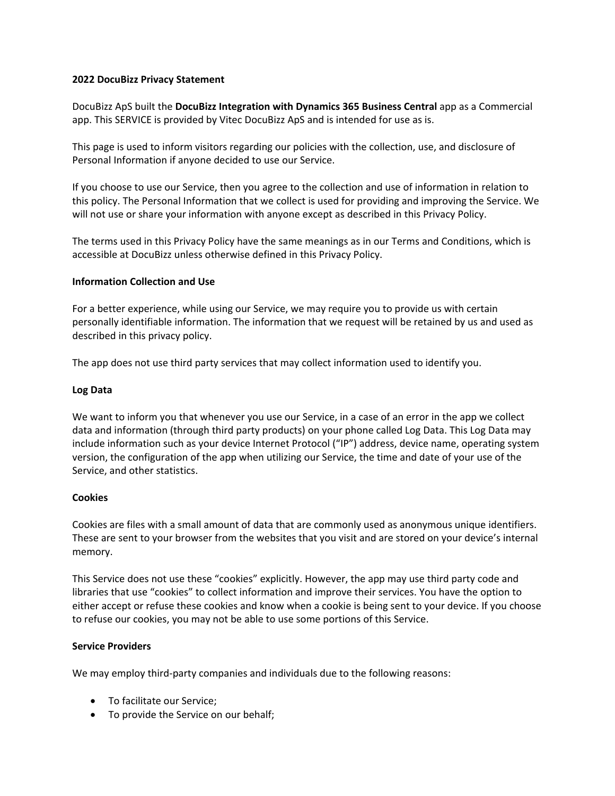## **2022 DocuBizz Privacy Statement**

DocuBizz ApS built the **DocuBizz Integration with Dynamics 365 Business Central** app as a Commercial app. This SERVICE is provided by Vitec DocuBizz ApS and is intended for use as is.

This page is used to inform visitors regarding our policies with the collection, use, and disclosure of Personal Information if anyone decided to use our Service.

If you choose to use our Service, then you agree to the collection and use of information in relation to this policy. The Personal Information that we collect is used for providing and improving the Service. We will not use or share your information with anyone except as described in this Privacy Policy.

The terms used in this Privacy Policy have the same meanings as in our Terms and Conditions, which is accessible at DocuBizz unless otherwise defined in this Privacy Policy.

## **Information Collection and Use**

For a better experience, while using our Service, we may require you to provide us with certain personally identifiable information. The information that we request will be retained by us and used as described in this privacy policy.

The app does not use third party services that may collect information used to identify you.

## **Log Data**

We want to inform you that whenever you use our Service, in a case of an error in the app we collect data and information (through third party products) on your phone called Log Data. This Log Data may include information such as your device Internet Protocol ("IP") address, device name, operating system version, the configuration of the app when utilizing our Service, the time and date of your use of the Service, and other statistics.

# **Cookies**

Cookies are files with a small amount of data that are commonly used as anonymous unique identifiers. These are sent to your browser from the websites that you visit and are stored on your device's internal memory.

This Service does not use these "cookies" explicitly. However, the app may use third party code and libraries that use "cookies" to collect information and improve their services. You have the option to either accept or refuse these cookies and know when a cookie is being sent to your device. If you choose to refuse our cookies, you may not be able to use some portions of this Service.

#### **Service Providers**

We may employ third-party companies and individuals due to the following reasons:

- To facilitate our Service;
- To provide the Service on our behalf;